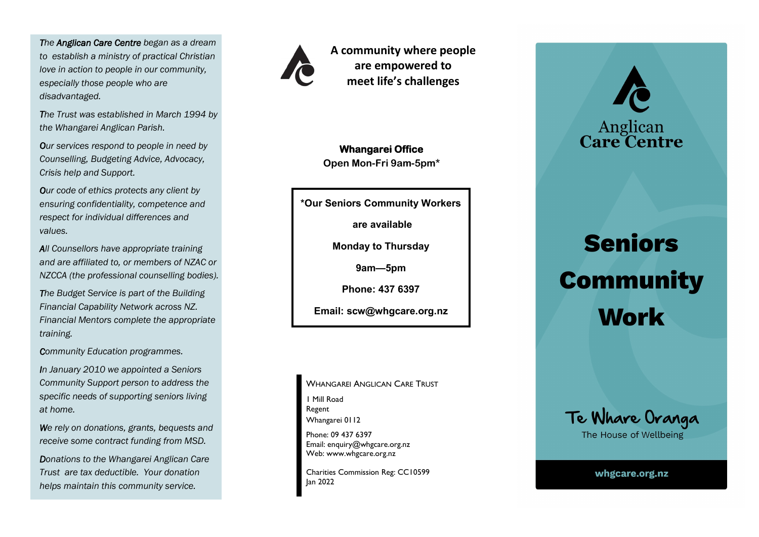*The Anglican Care Centre began as a dream to establish a ministry of practical Christian love in action to people in our community, especially those people who are disadvantaged.*

*The Trust was established in March 1994 by the Whangarei Anglican Parish.*

*Our services respond to people in need by Counselling, Budgeting Advice, Advocacy, Crisis help and Support.*

*Our code of ethics protects any client by ensuring confidentiality, competence and respect for individual differences and values.*

*All Counsellors have appropriate training and are affiliated to, or members of NZAC or NZCCA (the professional counselling bodies).*

*The Budget Service is part of the Building Financial Capability Network across NZ. Financial Mentors complete the appropriate training.* 

*Community Education programmes.*

*In January 2010 we appointed a Seniors Community Support person to address the specific needs of supporting seniors living at home.*

*We rely on donations, grants, bequests and receive some contract funding from MSD.* 

*Donations to the Whangarei Anglican Care Trust are tax deductible. Your donation helps maintain this community service.*



**A community where people are empowered to meet life's challenges**

**Whangarei Office Open Mon-Fri 9am-5pm\***

**\*Our Seniors Community Workers**

**are available** 

**Monday to Thursday**

**9am—5pm** 

**Phone: 437 6397** 

**Email: scw@whgcare.org.nz**

WHANGAREI ANGLICAN CARE TRUST 1 Mill Road Regent Whangarei 0112 Phone: 09 437 6397 Email: enquiry@whgcare.org.nz

Charities Commission Reg: CC10599 Jan 2022

Web: www.whgcare.org.nz



Anglican<br>Care Centre



whgcare.org.nz